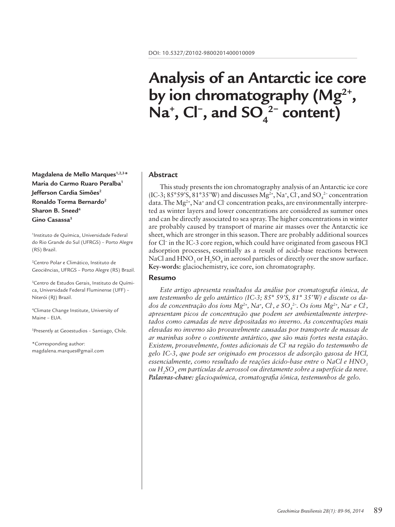# **Analysis of an Antarctic ice core by ion chromatography (Mg2+ ,**  Na<sup>+</sup>, Cl<sup>−</sup>, and SO<sub>4</sub><sup>2−</sup> content)

**Magdalena de Mello Marques1,2,3\* Maria do Carmo Ruaro Peralba1 Jefferson Cardia Simões<sup>2</sup> Ronaldo Torma Bernardo2 Sharon B. Sneed4** Gino Casassa<sup>5</sup>

1 Instituto de Química, Universidade Federal do Rio Grande do Sul (UFRGS) – Porto Alegre (RS) Brazil.

2 Centro Polar e Climático, Instituto de Geociências, UFRGS – Porto Alegre (RS) Brazil.

3 Centro de Estudos Gerais, Instituto de Química, Universidade Federal Fluminense (UFF) – Niterói (RJ) Brazil.

4 Climate Change Institute, University of Maine – EUA.

5 Presently at Geoestudios – Santiago, Chile.

\*Corresponding author: magdalena.marques@gmail.com

#### **Abstract**

This study presents the ion chromatography analysis of an Antarctic ice core (IC-3; 85°59'S, 81°35'W) and discusses  $Mg^{2+}$ , Na<sup>+</sup>, Cl<sup>-</sup>, and SO<sub>4</sub><sup>2</sup>- concentration data. The Mg<sup>2+</sup>, Na<sup>+</sup> and Cl concentration peaks, are environmentally interpreted as winter layers and lower concentrations are considered as summer ones and can be directly associated to sea spray. The higher concentrations in winter are probably caused by transport of marine air masses over the Antarctic ice sheet, which are stronger in this season. There are probably additional sources for Cl− in the IC-3 core region, which could have originated from gaseous HCl adsorption processes, essentially as a result of acid–base reactions between NaCl and  $\rm HNO_3$  or  $\rm H_2SO_4$  in aerosol particles or directly over the snow surface. **Key-words:** glaciochemistry, ice core, ion chromatography.

#### **Resumo**

*Este artigo apresenta resultados da análise por cromatografia iônica, de um testemunho de gelo antártico (IC-3; 85° 59'S, 81° 35'W) e discute os dados de concentração dos íons Mg<sup>2+</sup>, Na<sup>+</sup>, Cl<sup>-</sup>, e SO<sub>4</sub><sup>2-</sup>. Os íons Mg<sup>2+</sup>, Na<sup>+</sup> e Cl<sup>-</sup>, apresentam picos de concentração que podem ser ambientalmente interpretados como camadas de neve depositadas no inverno. As concentrações mais elevadas no inverno são provavelmente causadas por transporte de massas de ar marinhas sobre o continente antártico, que são mais fortes nesta estação. Existem, provavelmente, fontes adicionais de Cl- na região do testemunho de gelo IC-3, que pode ser originado em processos de adsorção gasosa de HCl, essencialmente, como resultado de reações ácido-base entre o NaCl e HNO<sub>3</sub> ou H2 SO4 em partículas de aerossol ou diretamente sobre a superfície da neve. Palavras-chave: glacioquímica, cromatografia iônica, testemunhos de gelo.*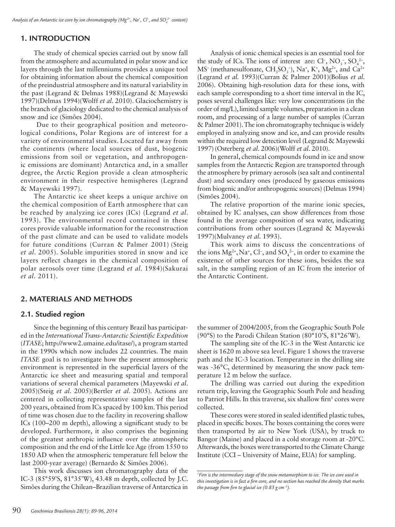# **1. INTRODUCTION**

The study of chemical species carried out by snow fall from the atmosphere and accumulated in polar snow and ice layers through the last millenniums provides a unique tool for obtaining information about the chemical composition of the preindustrial atmosphere and its natural variability in the past (Legrand & Delmas 1988)(Legrand & Mayewski 1997)(Delmas 1994)(Wolff *et al*. 2010). Glaciochemistry is the branch of glaciology dedicated to the chemical analysis of snow and ice (Simões 2004).

 Due to their geographical position and meteorological conditions, Polar Regions are of interest for a variety of environmental studies. Located far away from the continents (where local sources of dust, biogenic emissions from soil or vegetation, and anthropogenic emissions are dominant) Antarctica and, in a smaller degree, the Arctic Region provide a clean atmospheric environment in their respective hemispheres (Legrand & Mayewski 1997).

The Antarctic ice sheet keeps a unique archive on the chemical composition of Earth atmosphere that can be reached by analyzing ice cores (ICs) (Legrand *et al*. 1993). The environmental record contained in these cores provide valuable information for the reconstruction of the past climate and can be used to validate models for future conditions (Curran & Palmer 2001) (Steig *et al*. 2005). Soluble impurities stored in snow and ice layers reflect changes in the chemical composition of polar aerosols over time (Legrand *et al*. 1984)(Sakurai *et al*. 2011).

# **2. MATERIALS AND METHODS**

# **2.1. Studied region**

Since the beginning of this century Brazil has participated in the *International Trans-Antarctic Scientific Expedition*  (*ITASE*; http://www2.umaine.edu/itase/), a program started in the 1990s which now includes 22 countries. The main *ITASE* goal is to investigate how the present atmospheric environment is represented in the superficial layers of the Antarctic ice sheet and measuring spatial and temporal variations of several chemical parameters (Mayewski *et al*. 2005)(Steig *et al*. 2005)(Bertler *et al*. 2005). Actions are centered in collecting representative samples of the last 200 years, obtained from ICs spaced by 100 km. This period of time was chosen due to the facility in recovering shallow ICs (100–200 m depth), allowing a significant study to be developed. Furthermore, it also comprises the beginning of the greatest anthropic influence over the atmospheric composition and the end of the Little Ice Age (from 1550 to 1850 AD when the atmospheric temperature fell below the last 2000-year average) (Bernardo & Simões 2006).

This work discusses ion chromatography data of the IC-3 (85°59'S, 81°35'W), 43.48 m depth, collected by J.C. Simões during the Chilean–Brazilian traverse of Antarctica in

Analysis of ionic chemical species is an essential tool for the study of ICs. The ions of interest are: Cl<sup>-</sup>, NO<sub>3</sub><sup>-</sup>, SO<sub>4</sub><sup>2-</sup>, MS<sup>-</sup> (methanesulfonate,  $CH_3SO_3^-$ ), Na<sup>+</sup>, K<sup>+</sup>, Mg<sup>2+</sup>, and Ca<sup>2+</sup> (Legrand *et al*. 1993)(Curran & Palmer 2001)(Bolius *et al*. 2006). Obtaining high-resolution data for these ions, with each sample corresponding to a short time interval in the IC, poses several challenges like: very low concentrations (in the order of mg/L), limited sample volumes, preparation in a clean room, and processing of a large number of samples (Curran & Palmer 2001). The ion chromatography technique is widely employed in analyzing snow and ice, and can provide results within the required low detection level (Legrand & Mayewski 1997)(Osterberg *et al*. 2006)(Wolff *et al*. 2010).

In general, chemical compounds found in ice and snow samples from the Antarctic Region are transported through the atmosphere by primary aerosols (sea salt and continental dust) and secondary ones (produced by gaseous emissions from biogenic and/or anthropogenic sources) (Delmas 1994) (Simões 2004).

The relative proportion of the marine ionic species, obtained by IC analyses, can show differences from those found in the average composition of sea water, indicating contributions from other sources (Legrand & Mayewski 1997)(Mulvaney *et al*. 1993).

This work aims to discuss the concentrations of the ions  $Mg^{2+}$ , Na<sup>+</sup>, Cl<sup>-</sup>, and SO<sub>4</sub><sup>2-</sup>, in order to examine the existence of other sources for these ions, besides the sea salt, in the sampling region of an IC from the interior of the Antarctic Continent.

the summer of 2004/2005, from the Geographic South Pole (90°S) to the Parodi Chilean Station (80°10'S, 81°26'W).

The sampling site of the IC-3 in the West Antarctic ice sheet is 1620 m above sea level. Figure 1 shows the traverse path and the IC-3 location. Temperature in the drilling site was -36°C, determined by measuring the snow pack temperature 12 m below the surface.

The drilling was carried out during the expedition return trip, leaving the Geographic South Pole and heading to Patriot Hills. In this traverse, six shallow firn<sup>1</sup> cores were collected.

These cores were stored in sealed identified plastic tubes, placed in specific boxes. The boxes containing the cores were then transported by air to New York (USA), by truck to Bangor (Maine) and placed in a cold storage room at -20°C. Afterwards, the boxes were transported to the Climate Change Institute (CCI – University of Maine, EUA) for sampling.

*<sup>1</sup> Firn is the intermediary stage of the snow metamorphism to ice. The ice core used in this investigation is in fact a firn core, and no section has reached the density that marks the passage from firn to glacial ice (0.83 g cm−3).*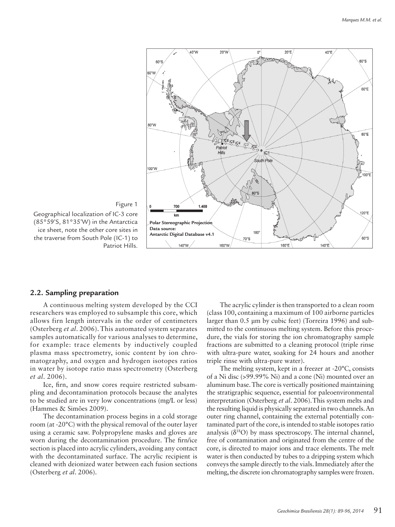

Figure 1 Geographical localization of IC-3 core (85°59'S, 81°35'W) in the Antarctica ice sheet, note the other core sites in the traverse from South Pole (IC-1) to Patriot Hills.

## **2.2. Sampling preparation**

A continuous melting system developed by the CCI researchers was employed to subsample this core, which allows firn length intervals in the order of centimeters (Osterberg *et al*. 2006). This automated system separates samples automatically for various analyses to determine, for example: trace elements by inductively coupled plasma mass spectrometry, ionic content by ion chromatography, and oxygen and hydrogen isotopes ratios in water by isotope ratio mass spectrometry (Osterberg *et al*. 2006).

Ice, firn, and snow cores require restricted subsampling and decontamination protocols because the analytes to be studied are in very low concentrations (mg/L or less) (Hammes & Simões 2009).

The decontamination process begins in a cold storage room (at -20°C) with the physical removal of the outer layer using a ceramic saw. Polypropylene masks and gloves are worn during the decontamination procedure. The firn/ice section is placed into acrylic cylinders, avoiding any contact with the decontaminated surface. The acrylic recipient is cleaned with deionized water between each fusion sections (Osterberg *et al*. 2006).

The acrylic cylinder is then transported to a clean room (class 100, containing a maximum of 100 airborne particles larger than 0.5 µm by cubic feet) (Torreira 1996) and submitted to the continuous melting system. Before this procedure, the vials for storing the ion chromatography sample fractions are submitted to a cleaning protocol (triple rinse with ultra-pure water, soaking for 24 hours and another triple rinse with ultra-pure water).

The melting system, kept in a freezer at -20°C, consists of a Ni disc (>99.99% Ni) and a cone (Ni) mounted over an aluminum base. The core is vertically positioned maintaining the stratigraphic sequence, essential for paleoenvironmental interpretation (Osterberg *et al*. 2006).This system melts and the resulting liquid is physically separated in two channels. An outer ring channel, containing the external potentially contaminated part of the core, is intended to stable isotopes ratio analysis  $(\delta^{18}O)$  by mass spectroscopy. The internal channel, free of contamination and originated from the centre of the core, is directed to major ions and trace elements. The melt water is then conducted by tubes to a dripping system which conveys the sample directly to the vials. Immediately after the melting, the discrete ion chromatography samples were frozen.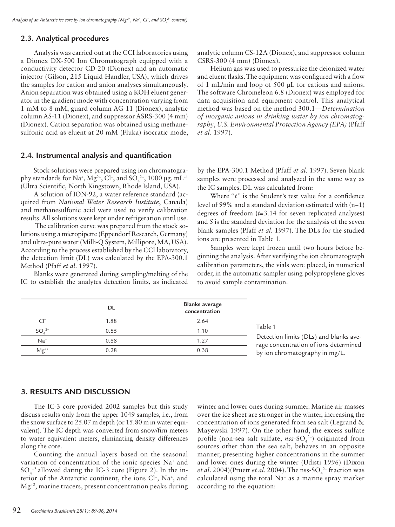# **2.3. Analytical procedures**

Analysis was carried out at the CCI laboratories using a Dionex DX-500 Ion Chromatograph equipped with a conductivity detector CD-20 (Dionex) and an automatic injector (Gilson, 215 Liquid Handler, USA), which drives the samples for cation and anion analyses simultaneously. Anion separation was obtained using a KOH eluent generator in the gradient mode with concentration varying from 1 mM to 8 mM, guard column AG-11 (Dionex), analytic column AS-11 (Dionex), and suppressor ASRS-300 (4 mm) (Dionex). Cation separation was obtained using methanesulfonic acid as eluent at 20 mM (Fluka) isocratic mode,

## **2.4. Instrumental analysis and quantification**

Stock solutions were prepared using ion chromatography standards for Na<sup>+</sup>, Mg<sup>2+</sup>, Cl<sup>-</sup>, and SO<sub>4</sub><sup>2-</sup>, 1000 µg. mL<sup>-1</sup> (Ultra Scientific, North Kingstown, Rhode Island, USA).

A solution of ION-92, a water reference standard (acquired from *National Water Research Institute*, Canada) and methanesulfonic acid were used to verify calibration results. All solutions were kept under refrigeration until use.

 The calibration curve was prepared from the stock solutions using a micropipette (Eppendorf Research, Germany) and ultra-pure water (Milli-Q System, Millipore, MA, USA). According to the process established by the CCI laboratory, the detection limit (DL) was calculated by the EPA-300.1 Method (Pfaff *et al*. 1997)*.*

Blanks were generated during sampling/melting of the IC to establish the analytes detection limits, as indicated analytic column CS-12A (Dionex), and suppressor column CSRS-300 (4 mm) (Dionex).

Helium gas was used to pressurize the deionized water and eluent flasks. The equipment was configured with a flow of 1 mL/min and loop of 500 µL for cations and anions. The software Chromeleon 6.8 (Dionex) was employed for data acquisition and equipment control. This analytical method was based on the method 300.1—*Determination of inorganic anions in drinking water by ion chromatography*, *U.S. Environmental Protection Agency (EPA)* (Pfaff *et al*. 1997).

by the EPA-300.1 Method (Pfaff *et al*. 1997). Seven blank samples were processed and analyzed in the same way as the IC samples. DL was calculated from:

Where "*t*" is the Student's test value for a confidence level of 99% and a standard deviation estimated with (n−1) degrees of freedom (*t*=3.14 for seven replicated analyses) and *S* is the standard deviation for the analysis of the seven blank samples (Pfaff *et al*. 1997). The DLs for the studied ions are presented in Table 1.

Samples were kept frozen until two hours before beginning the analysis. After verifying the ion chromatograph calibration parameters, the vials were placed, in numerical order, in the automatic sampler using polypropylene gloves to avoid sample contamination.

|                 | DL   | <b>Blanks</b> average<br>concentration |
|-----------------|------|----------------------------------------|
| $\bigcap$       | 1.88 | 2.64                                   |
| SO <sub>2</sub> | 0.85 | 1.10                                   |
| $Na+$           | 0.88 | 1.27                                   |
| $Mg^{2+}$       | 0.28 | 0.38                                   |

#### Table 1

Detection limits (DLs) and blanks average concentration of ions determined by ion chromatography in mg/L.

## **3. RESULTS AND DISCUSSION**

The IC-3 core provided 2002 samples but this study discuss results only from the upper 1049 samples, i.e., from the snow surface to 25.07 m depth (or 15.80 m in water equivalent). The IC depth was converted from snow/firn meters to water equivalent meters, eliminating density differences along the core.

Counting the annual layers based on the seasonal variation of concentration of the ionic species Na+ and  $SO_4^{-2}$  allowed dating the IC-3 core (Figure 2). In the interior of the Antarctic continent, the ions Cl−, Na+, and Mg+2, marine tracers, present concentration peaks during

winter and lower ones during summer. Marine air masses over the ice sheet are stronger in the winter, increasing the concentration of ions generated from sea salt (Legrand & Mayewski 1997). On the other hand, the excess sulfate profile (non-sea salt sulfate, *nss*-SO<sub>4</sub><sup>2</sup>) originated from sources other than the sea salt, behaves in an opposite manner, presenting higher concentrations in the summer and lower ones during the winter (Udisti 1996) (Dixon *et al.* 2004)(Pruett *et al.* 2004). The nss-SO<sub>4</sub><sup>2-</sup> fraction was calculated using the total Na+ as a marine spray marker according to the equation: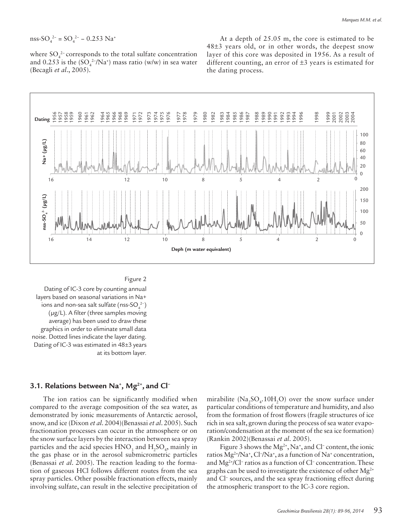nss-SO<sub>4</sub><sup>2-</sup> = SO<sub>4</sub><sup>2-</sup> – 0.253 Na<sup>+</sup>

where  $SO_4^2$ -corresponds to the total sulfate concentration and 0.253 is the  $(SO_4^{2-7}Na^+)$  mass ratio (w/w) in sea water (Becagli *et al*., 2005).

At a depth of 25.05 m, the core is estimated to be 48±3 years old, or in other words, the deepest snow layer of this core was deposited in 1956. As a result of different counting, an error of  $\pm 3$  years is estimated for the dating process.



# Figure 2

Dating of IC-3 core by counting annual layers based on seasonal variations in Na+ ions and non-sea salt sulfate (nss-SO $_4^{2-}$ ) (µg/L). A filter (three samples moving average) has been used to draw these graphics in order to eliminate small data noise. Dotted lines indicate the layer dating. Dating of IC-3 was estimated in 48±3 years at its bottom layer.

# **3.1. Relations between Na+ , Mg2+, and Cl−**

The ion ratios can be significantly modified when compared to the average composition of the sea water, as demonstrated by ionic measurements of Antarctic aerosol, snow, and ice (Dixon *et al*. 2004)(Benassai *et al*. 2005). Such fractionation processes can occur in the atmosphere or on the snow surface layers by the interaction between sea spray particles and the acid species  $HNO_3$  and  $H_2SO_4$ , mainly in the gas phase or in the aerosol submicrometric particles (Benassai *et al*. 2005). The reaction leading to the formation of gaseous HCl follows different routes from the sea spray particles. Other possible fractionation effects, mainly involving sulfate, can result in the selective precipitation of

mirabilite ( $\text{Na}_2\text{SO}_4$ .10H<sub>2</sub>O) over the snow surface under particular conditions of temperature and humidity, and also from the formation of frost flowers (fragile structures of ice rich in sea salt, grown during the process of sea water evaporation/condensation at the moment of the sea ice formation) (Rankin 2002)(Benassai *et al*. 2005).

Figure 3 shows the Mg<sup>2+</sup>, Na<sup>+</sup>, and Cl<sup>−</sup> content, the ionic ratios Mg<sup>2+</sup>/Na<sup>+</sup>, Cl<sup>-</sup>/Na<sup>+</sup>, as a function of Na<sup>+</sup> concentration, and Mg2+/Cl− ratios as a function of Cl− concentration. These graphs can be used to investigate the existence of other  $Mg^{2+}$ and Cl− sources, and the sea spray fractioning effect during the atmospheric transport to the IC-3 core region.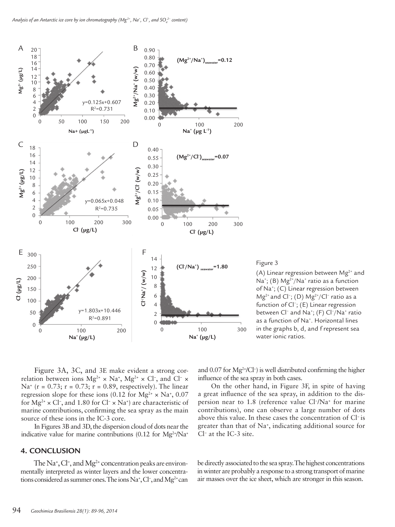

## Figure 3

(A) Linear regression between  $Mg^{2+}$  and Na<sup>+</sup>; (B)  $Mg^{2+}/Na^{+}$  ratio as a function of Na+ ; (C) Linear regression between Mg<sup>2+</sup> and Cl<sup>-</sup>; (D) Mg<sup>2+</sup>/Cl<sup>-</sup> ratio as a function of Cl− ; (E) Linear regression between Cl<sup>-</sup> and Na<sup>+</sup>; (F) Cl<sup>-</sup>/Na<sup>+</sup> ratio as a function of Na<sup>+</sup>. Horizontal lines in the graphs b, d, and f represent sea water ionic ratios.

Figure 3A, 3C, and 3E make evident a strong correlation between ions  $Mg^{2+} \times Na^+$ ,  $Mg^{2+} \times Cl^-$ , and  $Cl^- \times$ Na<sup>+</sup> (r = 0.73; r = 0.73; r = 0.89, respectively). The linear regression slope for these ions (0.12 for  $Mg^{2+} \times Na^+$ , 0.07 for  $Mg^{2+} \times Cl^{-}$ , and 1.80 for  $Cl^{-} \times Na^{+}$ ) are characteristic of marine contributions, confirming the sea spray as the main source of these ions in the IC-3 core.

In Figures 3B and 3D, the dispersion cloud of dots near the indicative value for marine contributions (0.12 for  $Mg^{2+}/Na^{+}$ 

## **4. CONCLUSION**

The Na<sup>+</sup>, Cl<sup>−</sup>, and Mg<sup>2+</sup> concentration peaks are environmentally interpreted as winter layers and the lower concentrations considered as summer ones. The ions Na<sup>+</sup>, Cl<sup>-</sup>, and Mg<sup>2+</sup> can

and 0.07 for Mg2+/Cl− ) is well distributed confirming the higher influence of the sea spray in both cases.

On the other hand, in Figure 3F, in spite of having a great influence of the sea spray, in addition to the dispersion near to 1.8 (reference value Cl<sup>-</sup>/Na<sup>+</sup> for marine contributions), one can observe a large number of dots above this value. In these cases the concentration of Cl− is greater than that of Na+ , indicating additional source for Cl− at the IC-3 site.

be directly associated to the sea spray. The highest concentrations in winter are probably a response to a strong transport of marine air masses over the ice sheet, which are stronger in this season.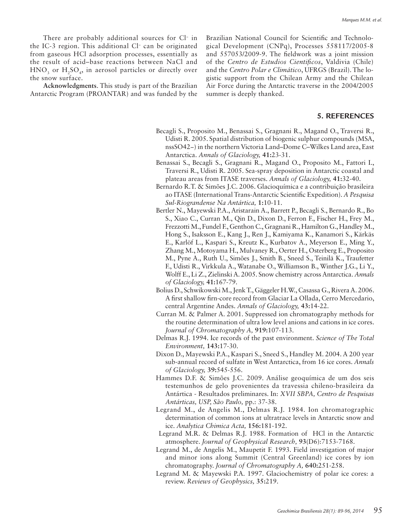There are probably additional sources for Cl− in the IC-3 region. This additional Cl− can be originated from gaseous HCl adsorption processes, essentially as the result of acid–base reactions between NaCl and  $HNO<sub>3</sub>$  or  $H<sub>2</sub>SO<sub>4</sub>$ , in aerosol particles or directly over the snow surface.

**Acknowledgments**. This study is part of the Brazilian Antarctic Program (PROANTAR) and was funded by the

Brazilian National Council for Scientific and Technological Development (CNPq), Processes 558117/2005-8 and 557053/2009-9. The fieldwork was a joint mission of the *Centro de Estudios Cientificos*, Valdivia (Chile) and the *Centro Polar e Climático*, UFRGS (Brazil). The logistic support from the Chilean Army and the Chilean Air Force during the Antarctic traverse in the 2004/2005 summer is deeply thanked.

## **5. REFERENCES**

- Becagli S., Proposito M., Benassai S., Gragnani R., Magand O., Traversi R., Udisti R. 2005. Spatial distribution of biogenic sulphur compounds (MSA, nssSO42−) in the northern Victoria Land–Dome C–Wilkes Land area, East Antarctica. *Annals of Glaciology,* **41:**23-31.
- Benassai S., Becagli S., Gragnani R., Magand O., Proposito M., Fattori I., Traversi R., Udisti R. 2005. Sea-spray deposition in Antarctic coastal and plateau areas from ITASE traverses. *Annals of Glaciology,* **41:**32-40.
- Bernardo R.T. & Simões J.C. 2006. Glacioquímica e a contribuição brasileira ao ITASE (International Trans-Antarctic Scientific Expedition). *A Pesquisa Sul-Riograndense Na Antártica,* **1:**10-11.
- Bertler N., Mayewski P.A., Aristarain A., Barrett P., Becagli S., Bernardo R., Bo S., Xiao C., Curran M., Qin D., Dixon D., Ferron F., Fischer H., Frey M., Frezzotti M., Fundel F., Genthon C., Gragnani R., Hamilton G., Handley M., Hong S., Isaksson E., Kang J., Ren J., Kamiyama K., Kanamori S., Kärkäs E., Karlöf L., Kaspari S., Kreutz K., Kurbatov A., Meyerson E., Ming Y., Zhang M., Motoyama H., Mulvaney R., Oerter H., Osterberg E., Proposito M., Pyne A., Ruth U., Simões J., Smith B., Sneed S., Teinilä K., Traufetter F., Udisti R., Virkkula A., Watanabe O., Williamson B., Winther J.G., Li Y., Wolff E., Li Z., Zielinski A. 2005. Snow chemistry across Antarctica. *Annals of Glaciology,* **41:**167-79.
- Bolius D., Schwikowski M., Jenk T., Gäggeler H.W., Casassa G., Rivera A. 2006. A first shallow firn-core record from Glaciar La Ollada, Cerro Mercedario, central Argentine Andes. *Annals of Glaciology,* **43:**14-22.
- Curran M. & Palmer A. 2001. Suppressed ion chromatography methods for the routine determination of ultra low level anions and cations in ice cores. *Journal of Chromatography A,* **919:**107-113.
- Delmas R.J. 1994. Ice records of the past environment. *Science of The Total Environment,* **143:**17-30.
- Dixon D., Mayewski P.A., Kaspari S., Sneed S., Handley M. 2004. A 200 year sub-annual record of sulfate in West Antarctica, from 16 ice cores. *Annals of Glaciology,* **39:**545-556.
- Hammes D.F. & Simões J.C. 2009. Análise geoquímica de um dos seis testemunhos de gelo provenientes da travessia chileno-brasileira da Antártica - Resultados preliminares. In: *XVII SBPA, Centro de Pesquisas Antárticas, USP, São Paulo,* pp.: 37-38.
- Legrand M., de Angelis M., Delmas R.J. 1984. Ion chromatographic determination of common ions at ultratrace levels in Antarctic snow and ice. *Analytica Chimica Acta,* **156:**181-192.
- Legrand M.R. & Delmas R.J. 1988. Formation of HCl in the Antarctic atmosphere. *Journal of Geophysical Research,* **93**(D6):7153-7168.
- Legrand M., de Angelis M., Maupetit F. 1993. Field investigation of major and minor ions along Summit (Central Greenland) ice cores by ion chromatography. *Journal of Chromatography A,* **640:**251-258.
- Legrand M. & Mayewski P.A. 1997. Glaciochemistry of polar ice cores: a review. *Reviews of Geophysics,* **35:**219.